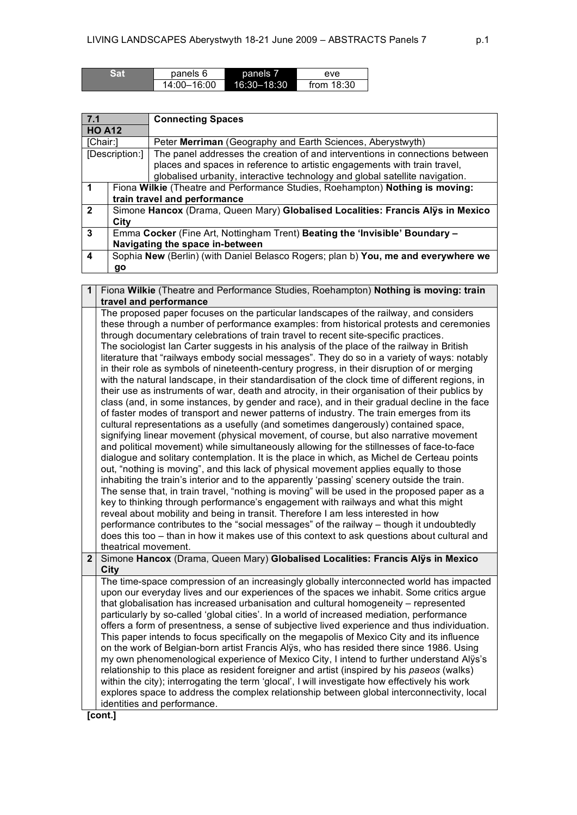| Sat | panels 6    | panels 7        | eve          |
|-----|-------------|-----------------|--------------|
|     | 14:00-16:00 | $16:30 - 18:30$ | from $18:30$ |

| 7.1            |                                                                                    | <b>Connecting Spaces</b>                                                     |
|----------------|------------------------------------------------------------------------------------|------------------------------------------------------------------------------|
| <b>HO A12</b>  |                                                                                    |                                                                              |
| [Chair:]       |                                                                                    | Peter Merriman (Geography and Earth Sciences, Aberystwyth)                   |
|                | [Description:]                                                                     | The panel addresses the creation of and interventions in connections between |
|                |                                                                                    | places and spaces in reference to artistic engagements with train travel,    |
|                |                                                                                    | globalised urbanity, interactive technology and global satellite navigation. |
|                | Fiona Wilkie (Theatre and Performance Studies, Roehampton) Nothing is moving:      |                                                                              |
|                | train travel and performance                                                       |                                                                              |
| $\overline{2}$ | Simone Hancox (Drama, Queen Mary) Globalised Localities: Francis Alys in Mexico    |                                                                              |
|                | City                                                                               |                                                                              |
| 3              | Emma Cocker (Fine Art, Nottingham Trent) Beating the 'Invisible' Boundary -        |                                                                              |
|                | Navigating the space in-between                                                    |                                                                              |
| 4              | Sophia New (Berlin) (with Daniel Belasco Rogers; plan b) You, me and everywhere we |                                                                              |
|                | go                                                                                 |                                                                              |

| Fiona Wilkie (Theatre and Performance Studies, Roehampton) Nothing is moving: train<br>$\mathbf 1$                                                                                                                                                                                                                                                                                                                                                                                                                                                                                                                                                                                                                                                                                                                                                                                                                                                                                                                                                                                                                                                                                                                                                                                                                                                                                                                                                                                                                                                                                                                                                                                                                                                                                                                                                                                                                                                                                                                                 |  |  |
|------------------------------------------------------------------------------------------------------------------------------------------------------------------------------------------------------------------------------------------------------------------------------------------------------------------------------------------------------------------------------------------------------------------------------------------------------------------------------------------------------------------------------------------------------------------------------------------------------------------------------------------------------------------------------------------------------------------------------------------------------------------------------------------------------------------------------------------------------------------------------------------------------------------------------------------------------------------------------------------------------------------------------------------------------------------------------------------------------------------------------------------------------------------------------------------------------------------------------------------------------------------------------------------------------------------------------------------------------------------------------------------------------------------------------------------------------------------------------------------------------------------------------------------------------------------------------------------------------------------------------------------------------------------------------------------------------------------------------------------------------------------------------------------------------------------------------------------------------------------------------------------------------------------------------------------------------------------------------------------------------------------------------------|--|--|
| travel and performance                                                                                                                                                                                                                                                                                                                                                                                                                                                                                                                                                                                                                                                                                                                                                                                                                                                                                                                                                                                                                                                                                                                                                                                                                                                                                                                                                                                                                                                                                                                                                                                                                                                                                                                                                                                                                                                                                                                                                                                                             |  |  |
| The proposed paper focuses on the particular landscapes of the railway, and considers<br>these through a number of performance examples: from historical protests and ceremonies<br>through documentary celebrations of train travel to recent site-specific practices.<br>The sociologist lan Carter suggests in his analysis of the place of the railway in British<br>literature that "railways embody social messages". They do so in a variety of ways: notably<br>in their role as symbols of nineteenth-century progress, in their disruption of or merging<br>with the natural landscape, in their standardisation of the clock time of different regions, in<br>their use as instruments of war, death and atrocity, in their organisation of their publics by<br>class (and, in some instances, by gender and race), and in their gradual decline in the face<br>of faster modes of transport and newer patterns of industry. The train emerges from its<br>cultural representations as a usefully (and sometimes dangerously) contained space,<br>signifying linear movement (physical movement, of course, but also narrative movement<br>and political movement) while simultaneously allowing for the stillnesses of face-to-face<br>dialogue and solitary contemplation. It is the place in which, as Michel de Certeau points<br>out, "nothing is moving", and this lack of physical movement applies equally to those<br>inhabiting the train's interior and to the apparently 'passing' scenery outside the train.<br>The sense that, in train travel, "nothing is moving" will be used in the proposed paper as a<br>key to thinking through performance's engagement with railways and what this might<br>reveal about mobility and being in transit. Therefore I am less interested in how<br>performance contributes to the "social messages" of the railway - though it undoubtedly<br>does this too - than in how it makes use of this context to ask questions about cultural and<br>theatrical movement. |  |  |
| Simone Hancox (Drama, Queen Mary) Globalised Localities: Francis Alys in Mexico                                                                                                                                                                                                                                                                                                                                                                                                                                                                                                                                                                                                                                                                                                                                                                                                                                                                                                                                                                                                                                                                                                                                                                                                                                                                                                                                                                                                                                                                                                                                                                                                                                                                                                                                                                                                                                                                                                                                                    |  |  |
| <b>City</b>                                                                                                                                                                                                                                                                                                                                                                                                                                                                                                                                                                                                                                                                                                                                                                                                                                                                                                                                                                                                                                                                                                                                                                                                                                                                                                                                                                                                                                                                                                                                                                                                                                                                                                                                                                                                                                                                                                                                                                                                                        |  |  |
| The time-space compression of an increasingly globally interconnected world has impacted<br>upon our everyday lives and our experiences of the spaces we inhabit. Some critics argue<br>that globalisation has increased urbanisation and cultural homogeneity - represented<br>particularly by so-called 'global cities'. In a world of increased mediation, performance<br>offers a form of presentness, a sense of subjective lived experience and thus individuation.<br>This paper intends to focus specifically on the megapolis of Mexico City and its influence<br>on the work of Belgian-born artist Francis Alys, who has resided there since 1986. Using<br>my own phenomenological experience of Mexico City, I intend to further understand Alys's<br>relationship to this place as resident foreigner and artist (inspired by his paseos (walks)<br>within the city); interrogating the term 'glocal', I will investigate how effectively his work<br>explores space to address the complex relationship between global interconnectivity, local<br>identities and performance.<br>$l$ cont 1                                                                                                                                                                                                                                                                                                                                                                                                                                                                                                                                                                                                                                                                                                                                                                                                                                                                                                                        |  |  |
|                                                                                                                                                                                                                                                                                                                                                                                                                                                                                                                                                                                                                                                                                                                                                                                                                                                                                                                                                                                                                                                                                                                                                                                                                                                                                                                                                                                                                                                                                                                                                                                                                                                                                                                                                                                                                                                                                                                                                                                                                                    |  |  |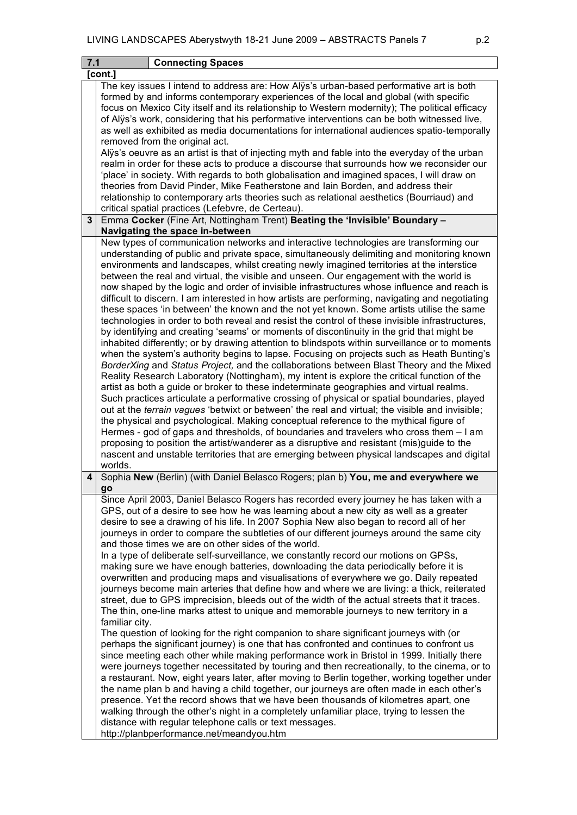| 7.1 | <b>Connecting Spaces</b>                                                                                                                                                                                                                                                                                                                                                                                                                                                                                                                                                                                                                                                                                                                                                                                                                                                                                                                                                                                                                                                                                                                                                                                                                                                                                                                                                                                                                                                                                                                                                                                                                                                                                                                                                                                                                                                                                                                                |  |  |  |  |
|-----|---------------------------------------------------------------------------------------------------------------------------------------------------------------------------------------------------------------------------------------------------------------------------------------------------------------------------------------------------------------------------------------------------------------------------------------------------------------------------------------------------------------------------------------------------------------------------------------------------------------------------------------------------------------------------------------------------------------------------------------------------------------------------------------------------------------------------------------------------------------------------------------------------------------------------------------------------------------------------------------------------------------------------------------------------------------------------------------------------------------------------------------------------------------------------------------------------------------------------------------------------------------------------------------------------------------------------------------------------------------------------------------------------------------------------------------------------------------------------------------------------------------------------------------------------------------------------------------------------------------------------------------------------------------------------------------------------------------------------------------------------------------------------------------------------------------------------------------------------------------------------------------------------------------------------------------------------------|--|--|--|--|
|     | [cont.]                                                                                                                                                                                                                                                                                                                                                                                                                                                                                                                                                                                                                                                                                                                                                                                                                                                                                                                                                                                                                                                                                                                                                                                                                                                                                                                                                                                                                                                                                                                                                                                                                                                                                                                                                                                                                                                                                                                                                 |  |  |  |  |
|     | The key issues I intend to address are: How Alys's urban-based performative art is both<br>formed by and informs contemporary experiences of the local and global (with specific<br>focus on Mexico City itself and its relationship to Western modernity); The political efficacy<br>of Alys's work, considering that his performative interventions can be both witnessed live,<br>as well as exhibited as media documentations for international audiences spatio-temporally<br>removed from the original act.                                                                                                                                                                                                                                                                                                                                                                                                                                                                                                                                                                                                                                                                                                                                                                                                                                                                                                                                                                                                                                                                                                                                                                                                                                                                                                                                                                                                                                       |  |  |  |  |
|     | Alys's oeuvre as an artist is that of injecting myth and fable into the everyday of the urban<br>realm in order for these acts to produce a discourse that surrounds how we reconsider our<br>'place' in society. With regards to both globalisation and imagined spaces, I will draw on<br>theories from David Pinder, Mike Featherstone and lain Borden, and address their<br>relationship to contemporary arts theories such as relational aesthetics (Bourriaud) and<br>critical spatial practices (Lefebvre, de Certeau).                                                                                                                                                                                                                                                                                                                                                                                                                                                                                                                                                                                                                                                                                                                                                                                                                                                                                                                                                                                                                                                                                                                                                                                                                                                                                                                                                                                                                          |  |  |  |  |
| 3   | Emma Cocker (Fine Art, Nottingham Trent) Beating the 'Invisible' Boundary -<br>Navigating the space in-between                                                                                                                                                                                                                                                                                                                                                                                                                                                                                                                                                                                                                                                                                                                                                                                                                                                                                                                                                                                                                                                                                                                                                                                                                                                                                                                                                                                                                                                                                                                                                                                                                                                                                                                                                                                                                                          |  |  |  |  |
|     | New types of communication networks and interactive technologies are transforming our<br>understanding of public and private space, simultaneously delimiting and monitoring known<br>environments and landscapes, whilst creating newly imagined territories at the interstice<br>between the real and virtual, the visible and unseen. Our engagement with the world is<br>now shaped by the logic and order of invisible infrastructures whose influence and reach is<br>difficult to discern. I am interested in how artists are performing, navigating and negotiating<br>these spaces 'in between' the known and the not yet known. Some artists utilise the same<br>technologies in order to both reveal and resist the control of these invisible infrastructures,<br>by identifying and creating 'seams' or moments of discontinuity in the grid that might be<br>inhabited differently; or by drawing attention to blindspots within surveillance or to moments<br>when the system's authority begins to lapse. Focusing on projects such as Heath Bunting's<br>BorderXing and Status Project, and the collaborations between Blast Theory and the Mixed<br>Reality Research Laboratory (Nottingham), my intent is explore the critical function of the<br>artist as both a guide or broker to these indeterminate geographies and virtual realms.<br>Such practices articulate a performative crossing of physical or spatial boundaries, played<br>out at the terrain vagues 'betwixt or between' the real and virtual; the visible and invisible;<br>the physical and psychological. Making conceptual reference to the mythical figure of<br>Hermes - god of gaps and thresholds, of boundaries and travelers who cross them - I am<br>proposing to position the artist/wanderer as a disruptive and resistant (mis)guide to the<br>nascent and unstable territories that are emerging between physical landscapes and digital<br>worlds. |  |  |  |  |
| 4   | Sophia New (Berlin) (with Daniel Belasco Rogers; plan b) You, me and everywhere we<br>go                                                                                                                                                                                                                                                                                                                                                                                                                                                                                                                                                                                                                                                                                                                                                                                                                                                                                                                                                                                                                                                                                                                                                                                                                                                                                                                                                                                                                                                                                                                                                                                                                                                                                                                                                                                                                                                                |  |  |  |  |
|     | Since April 2003, Daniel Belasco Rogers has recorded every journey he has taken with a<br>GPS, out of a desire to see how he was learning about a new city as well as a greater<br>desire to see a drawing of his life. In 2007 Sophia New also began to record all of her<br>journeys in order to compare the subtleties of our different journeys around the same city<br>and those times we are on other sides of the world.<br>In a type of deliberate self-surveillance, we constantly record our motions on GPSs,<br>making sure we have enough batteries, downloading the data periodically before it is<br>overwritten and producing maps and visualisations of everywhere we go. Daily repeated<br>journeys become main arteries that define how and where we are living: a thick, reiterated<br>street, due to GPS imprecision, bleeds out of the width of the actual streets that it traces.<br>The thin, one-line marks attest to unique and memorable journeys to new territory in a<br>familiar city.<br>The question of looking for the right companion to share significant journeys with (or<br>perhaps the significant journey) is one that has confronted and continues to confront us                                                                                                                                                                                                                                                                                                                                                                                                                                                                                                                                                                                                                                                                                                                                               |  |  |  |  |
|     | since meeting each other while making performance work in Bristol in 1999. Initially there<br>were journeys together necessitated by touring and then recreationally, to the cinema, or to<br>a restaurant. Now, eight years later, after moving to Berlin together, working together under<br>the name plan b and having a child together, our journeys are often made in each other's<br>presence. Yet the record shows that we have been thousands of kilometres apart, one<br>walking through the other's night in a completely unfamiliar place, trying to lessen the<br>distance with regular telephone calls or text messages.<br>http://planbperformance.net/meandyou.htm                                                                                                                                                                                                                                                                                                                                                                                                                                                                                                                                                                                                                                                                                                                                                                                                                                                                                                                                                                                                                                                                                                                                                                                                                                                                       |  |  |  |  |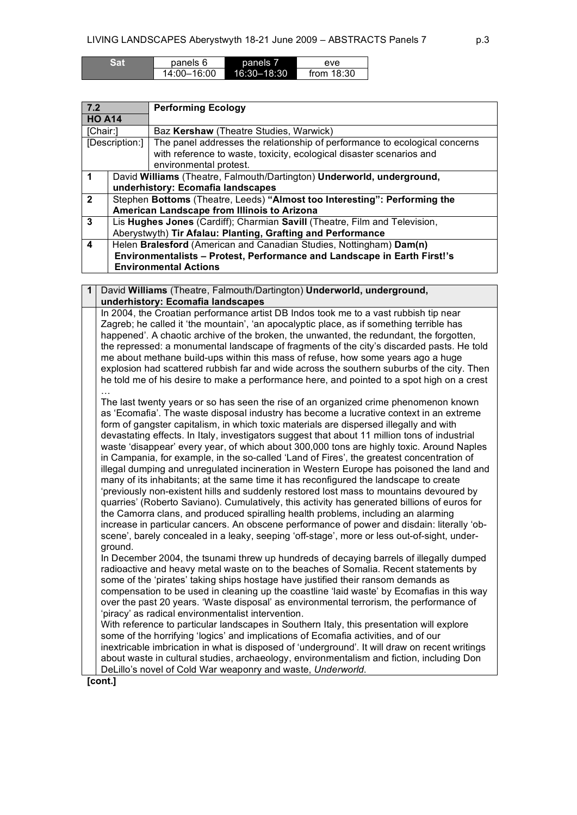| Sai | panels 6    | panels <sub>b</sub> | eve          |
|-----|-------------|---------------------|--------------|
|     | 14:00-16:00 | 16:30-18:30         | from $18:30$ |

| 7.2            |                                                                            | <b>Performing Ecology</b>                                                  |  |
|----------------|----------------------------------------------------------------------------|----------------------------------------------------------------------------|--|
| <b>HO A14</b>  |                                                                            |                                                                            |  |
| [Chair:]       |                                                                            | Baz Kershaw (Theatre Studies, Warwick)                                     |  |
|                | [Description:]                                                             | The panel addresses the relationship of performance to ecological concerns |  |
|                |                                                                            | with reference to waste, toxicity, ecological disaster scenarios and       |  |
|                |                                                                            | environmental protest.                                                     |  |
|                |                                                                            | David Williams (Theatre, Falmouth/Dartington) Underworld, underground,     |  |
|                |                                                                            | underhistory: Ecomafia landscapes                                          |  |
| $\overline{2}$ |                                                                            | Stephen Bottoms (Theatre, Leeds) "Almost too Interesting": Performing the  |  |
|                |                                                                            | American Landscape from Illinois to Arizona                                |  |
| 3              | Lis Hughes Jones (Cardiff); Charmian Savill (Theatre, Film and Television, |                                                                            |  |
|                | Aberystwyth) Tir Afalau: Planting, Grafting and Performance                |                                                                            |  |
| 4              | Helen Bralesford (American and Canadian Studies, Nottingham) Dam(n)        |                                                                            |  |
|                | Environmentalists - Protest, Performance and Landscape in Earth First!'s   |                                                                            |  |
|                | <b>Environmental Actions</b>                                               |                                                                            |  |

**1** David **Williams** (Theatre, Falmouth/Dartington) **Underworld, underground, underhistory: Ecomafia landscapes** In 2004, the Croatian performance artist DB Indos took me to a vast rubbish tip near Zagreb; he called it 'the mountain', 'an apocalyptic place, as if something terrible has happened'. A chaotic archive of the broken, the unwanted, the redundant, the forgotten, the repressed: a monumental landscape of fragments of the city's discarded pasts. He told me about methane build-ups within this mass of refuse, how some years ago a huge explosion had scattered rubbish far and wide across the southern suburbs of the city. Then he told me of his desire to make a performance here, and pointed to a spot high on a crest … The last twenty years or so has seen the rise of an organized crime phenomenon known as 'Ecomafia'. The waste disposal industry has become a lucrative context in an extreme form of gangster capitalism, in which toxic materials are dispersed illegally and with devastating effects. In Italy, investigators suggest that about 11 million tons of industrial waste 'disappear' every year, of which about 300,000 tons are highly toxic. Around Naples in Campania, for example, in the so-called 'Land of Fires', the greatest concentration of illegal dumping and unregulated incineration in Western Europe has poisoned the land and many of its inhabitants; at the same time it has reconfigured the landscape to create 'previously non-existent hills and suddenly restored lost mass to mountains devoured by quarries' (Roberto Saviano). Cumulatively, this activity has generated billions of euros for the Camorra clans, and produced spiralling health problems, including an alarming increase in particular cancers. An obscene performance of power and disdain: literally 'ob-

scene', barely concealed in a leaky, seeping 'off-stage', more or less out-of-sight, underground. In December 2004, the tsunami threw up hundreds of decaying barrels of illegally dumped

radioactive and heavy metal waste on to the beaches of Somalia. Recent statements by some of the 'pirates' taking ships hostage have justified their ransom demands as compensation to be used in cleaning up the coastline 'laid waste' by Ecomafias in this way over the past 20 years. 'Waste disposal' as environmental terrorism, the performance of 'piracy' as radical environmentalist intervention.

With reference to particular landscapes in Southern Italy, this presentation will explore some of the horrifying 'logics' and implications of Ecomafia activities, and of our inextricable imbrication in what is disposed of 'underground'. It will draw on recent writings about waste in cultural studies, archaeology, environmentalism and fiction, including Don DeLillo's novel of Cold War weaponry and waste, *Underworld*.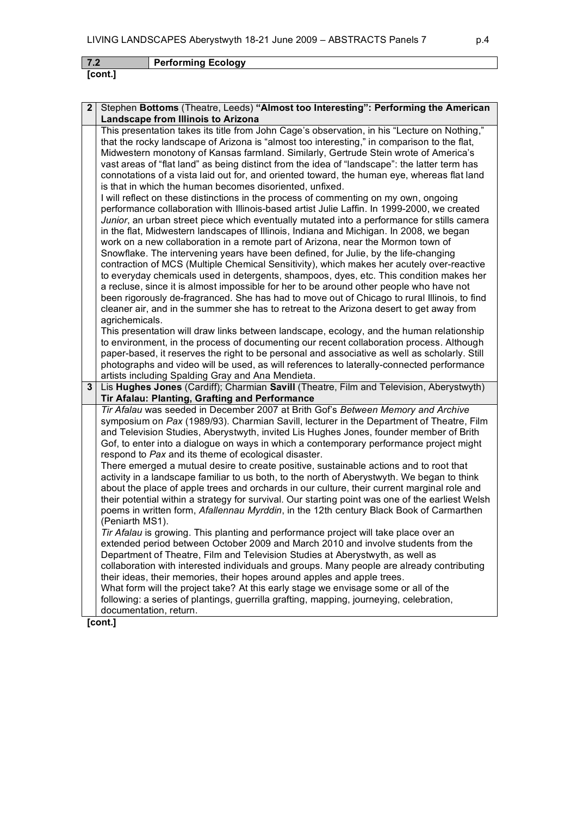| 7.2 | <b>Performing Ecology</b> |
|-----|---------------------------|
|     |                           |

| $\mathbf{2}$   | Stephen Bottoms (Theatre, Leeds) "Almost too Interesting": Performing the American                                                                                                                                                                                                                                                                                                                                                                                                                                                                                                                                                                                                                                                                                                                                                                                                                                                                                                                                                      |
|----------------|-----------------------------------------------------------------------------------------------------------------------------------------------------------------------------------------------------------------------------------------------------------------------------------------------------------------------------------------------------------------------------------------------------------------------------------------------------------------------------------------------------------------------------------------------------------------------------------------------------------------------------------------------------------------------------------------------------------------------------------------------------------------------------------------------------------------------------------------------------------------------------------------------------------------------------------------------------------------------------------------------------------------------------------------|
|                | Landscape from Illinois to Arizona                                                                                                                                                                                                                                                                                                                                                                                                                                                                                                                                                                                                                                                                                                                                                                                                                                                                                                                                                                                                      |
|                | This presentation takes its title from John Cage's observation, in his "Lecture on Nothing,"<br>that the rocky landscape of Arizona is "almost too interesting," in comparison to the flat,<br>Midwestern monotony of Kansas farmland. Similarly, Gertrude Stein wrote of America's<br>vast areas of "flat land" as being distinct from the idea of "landscape": the latter term has<br>connotations of a vista laid out for, and oriented toward, the human eye, whereas flat land<br>is that in which the human becomes disoriented, unfixed.                                                                                                                                                                                                                                                                                                                                                                                                                                                                                         |
|                | I will reflect on these distinctions in the process of commenting on my own, ongoing<br>performance collaboration with Illinois-based artist Julie Laffin. In 1999-2000, we created<br>Junior, an urban street piece which eventually mutated into a performance for stills camera<br>in the flat, Midwestern landscapes of Illinois, Indiana and Michigan. In 2008, we began<br>work on a new collaboration in a remote part of Arizona, near the Mormon town of<br>Snowflake. The intervening years have been defined, for Julie, by the life-changing<br>contraction of MCS (Multiple Chemical Sensitivity), which makes her acutely over-reactive<br>to everyday chemicals used in detergents, shampoos, dyes, etc. This condition makes her<br>a recluse, since it is almost impossible for her to be around other people who have not<br>been rigorously de-fragranced. She has had to move out of Chicago to rural Illinois, to find<br>cleaner air, and in the summer she has to retreat to the Arizona desert to get away from |
|                | agrichemicals.<br>This presentation will draw links between landscape, ecology, and the human relationship<br>to environment, in the process of documenting our recent collaboration process. Although<br>paper-based, it reserves the right to be personal and associative as well as scholarly. Still<br>photographs and video will be used, as will references to laterally-connected performance<br>artists including Spalding Gray and Ana Mendieta.                                                                                                                                                                                                                                                                                                                                                                                                                                                                                                                                                                               |
| $3\phantom{a}$ | Lis Hughes Jones (Cardiff); Charmian Savill (Theatre, Film and Television, Aberystwyth)<br>Tir Afalau: Planting, Grafting and Performance                                                                                                                                                                                                                                                                                                                                                                                                                                                                                                                                                                                                                                                                                                                                                                                                                                                                                               |
|                | Tir Afalau was seeded in December 2007 at Brith Gof's Between Memory and Archive<br>symposium on Pax (1989/93). Charmian Savill, lecturer in the Department of Theatre, Film<br>and Television Studies, Aberystwyth, invited Lis Hughes Jones, founder member of Brith<br>Gof, to enter into a dialogue on ways in which a contemporary performance project might<br>respond to Pax and its theme of ecological disaster.<br>There emerged a mutual desire to create positive, sustainable actions and to root that<br>activity in a landscape familiar to us both, to the north of Aberystwyth. We began to think<br>about the place of apple trees and orchards in our culture, their current marginal role and<br>their potential within a strategy for survival. Our starting point was one of the earliest Welsh<br>poems in written form, Afallennau Myrddin, in the 12th century Black Book of Carmarthen<br>(Peniarth MS1).                                                                                                     |
|                | Tir Afalau is growing. This planting and performance project will take place over an<br>extended period between October 2009 and March 2010 and involve students from the<br>Department of Theatre, Film and Television Studies at Aberystwyth, as well as<br>collaboration with interested individuals and groups. Many people are already contributing<br>their ideas, their memories, their hopes around apples and apple trees.<br>What form will the project take? At this early stage we envisage some or all of the<br>following: a series of plantings, guerrilla grafting, mapping, journeying, celebration,<br>documentation, return.                                                                                                                                                                                                                                                                                                                                                                                         |
|                | [cont.]                                                                                                                                                                                                                                                                                                                                                                                                                                                                                                                                                                                                                                                                                                                                                                                                                                                                                                                                                                                                                                 |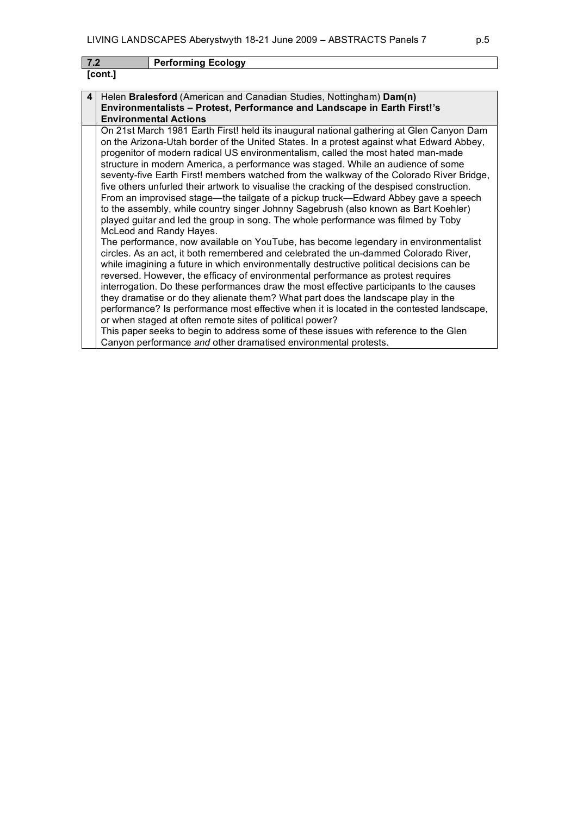## **7.2 Performing Ecology**

| וחו | I |
|-----|---|
|-----|---|

| 4 Helen Bralesford (American and Canadian Studies, Nottingham) Dam(n)           |
|---------------------------------------------------------------------------------|
| <b>Environmentalists – Protest, Performance and Landscape in Earth First!'s</b> |
| <b>Environmental Actions</b>                                                    |

On 21st March 1981 Earth First! held its inaugural national gathering at Glen Canyon Dam on the Arizona-Utah border of the United States. In a protest against what Edward Abbey, progenitor of modern radical US environmentalism, called the most hated man-made structure in modern America, a performance was staged. While an audience of some seventy-five Earth First! members watched from the walkway of the Colorado River Bridge, five others unfurled their artwork to visualise the cracking of the despised construction. From an improvised stage—the tailgate of a pickup truck—Edward Abbey gave a speech to the assembly, while country singer Johnny Sagebrush (also known as Bart Koehler) played guitar and led the group in song. The whole performance was filmed by Toby McLeod and Randy Hayes.

The performance, now available on YouTube, has become legendary in environmentalist circles. As an act, it both remembered and celebrated the un-dammed Colorado River, while imagining a future in which environmentally destructive political decisions can be reversed. However, the efficacy of environmental performance as protest requires interrogation. Do these performances draw the most effective participants to the causes they dramatise or do they alienate them? What part does the landscape play in the performance? Is performance most effective when it is located in the contested landscape, or when staged at often remote sites of political power?

This paper seeks to begin to address some of these issues with reference to the Glen Canyon performance *and* other dramatised environmental protests.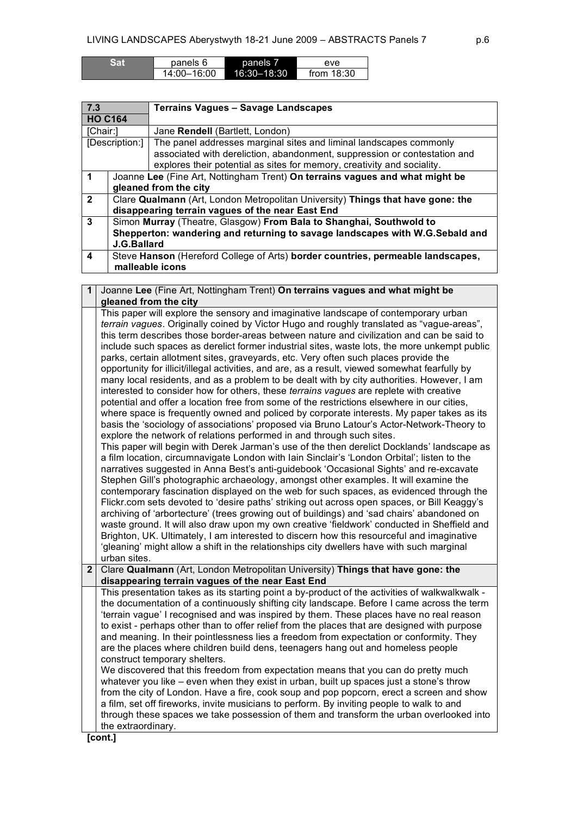| Sat | panels 6    | panels 7    | eve          |
|-----|-------------|-------------|--------------|
|     | 14:00-16:00 | 16:30-18:30 | from $18:30$ |

| 7.3                  |                                                                                 | <b>Terrains Vagues - Savage Landscapes</b>                                      |
|----------------------|---------------------------------------------------------------------------------|---------------------------------------------------------------------------------|
| <b>HO C164</b>       |                                                                                 |                                                                                 |
| [Chair:]             |                                                                                 | Jane Rendell (Bartlett, London)                                                 |
|                      | [Description:]                                                                  | The panel addresses marginal sites and liminal landscapes commonly              |
|                      |                                                                                 | associated with dereliction, abandonment, suppression or contestation and       |
|                      |                                                                                 | explores their potential as sites for memory, creativity and sociality.         |
| $\blacktriangleleft$ |                                                                                 | Joanne Lee (Fine Art, Nottingham Trent) On terrains vagues and what might be    |
|                      |                                                                                 | gleaned from the city                                                           |
| $\overline{2}$       |                                                                                 | Clare Qualmann (Art, London Metropolitan University) Things that have gone: the |
|                      |                                                                                 | disappearing terrain vagues of the near East End                                |
| 3                    | Simon Murray (Theatre, Glasgow) From Bala to Shanghai, Southwold to             |                                                                                 |
|                      | Shepperton: wandering and returning to savage landscapes with W.G.Sebald and    |                                                                                 |
|                      | J.G.Ballard                                                                     |                                                                                 |
| 4                    | Steve Hanson (Hereford College of Arts) border countries, permeable landscapes, |                                                                                 |
|                      | malleable icons                                                                 |                                                                                 |

**1** Joanne **Lee** (Fine Art, Nottingham Trent) **On terrains vagues and what might be gleaned from the city** This paper will explore the sensory and imaginative landscape of contemporary urban *terrain vagues*. Originally coined by Victor Hugo and roughly translated as "vague-areas", this term describes those border-areas between nature and civilization and can be said to include such spaces as derelict former industrial sites, waste lots, the more unkempt public parks, certain allotment sites, graveyards, etc. Very often such places provide the opportunity for illicit/illegal activities, and are, as a result, viewed somewhat fearfully by many local residents, and as a problem to be dealt with by city authorities. However, I am interested to consider how for others, these *terrains vagues* are replete with creative potential and offer a location free from some of the restrictions elsewhere in our cities, where space is frequently owned and policed by corporate interests. My paper takes as its basis the 'sociology of associations' proposed via Bruno Latour's Actor-Network-Theory to explore the network of relations performed in and through such sites. This paper will begin with Derek Jarman's use of the then derelict Docklands' landscape as a film location, circumnavigate London with Iain Sinclair's 'London Orbital'; listen to the narratives suggested in Anna Best's anti-guidebook 'Occasional Sights' and re-excavate Stephen Gill's photographic archaeology, amongst other examples. It will examine the contemporary fascination displayed on the web for such spaces, as evidenced through the Flickr.com sets devoted to 'desire paths' striking out across open spaces, or Bill Keaggy's archiving of 'arbortecture' (trees growing out of buildings) and 'sad chairs' abandoned on waste ground. It will also draw upon my own creative 'fieldwork' conducted in Sheffield and Brighton, UK. Ultimately, I am interested to discern how this resourceful and imaginative 'gleaning' might allow a shift in the relationships city dwellers have with such marginal urban sites. **2** Clare **Qualmann** (Art, London Metropolitan University) **Things that have gone: the disappearing terrain vagues of the near East End** This presentation takes as its starting point a by-product of the activities of walkwalkwalk the documentation of a continuously shifting city landscape. Before I came across the term 'terrain vague' I recognised and was inspired by them. These places have no real reason to exist - perhaps other than to offer relief from the places that are designed with purpose and meaning. In their pointlessness lies a freedom from expectation or conformity. They are the places where children build dens, teenagers hang out and homeless people construct temporary shelters. We discovered that this freedom from expectation means that you can do pretty much whatever you like – even when they exist in urban, built up spaces just a stone's throw from the city of London. Have a fire, cook soup and pop popcorn, erect a screen and show a film, set off fireworks, invite musicians to perform. By inviting people to walk to and through these spaces we take possession of them and transform the urban overlooked into the extraordinary.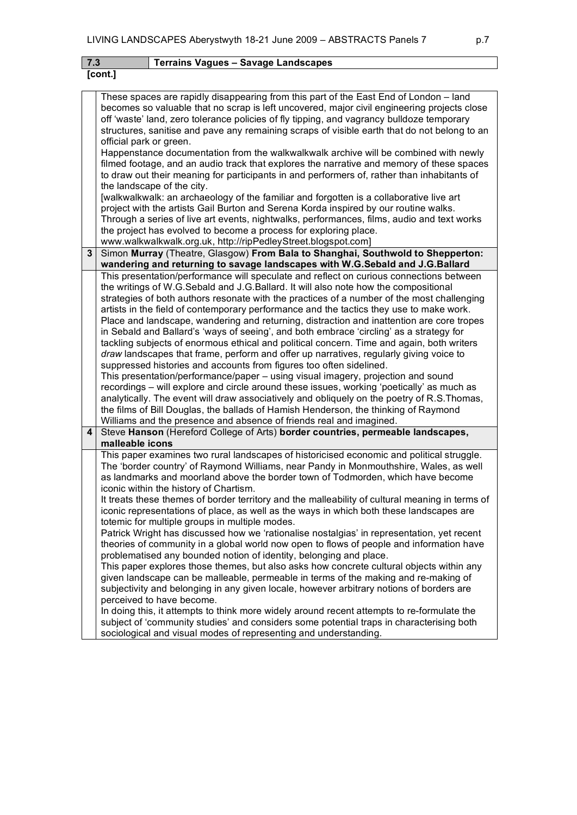| 7.3<br><b>Terrains Vagues - Savage Landscapes</b> |                                                                                                                                                                                                                                                                                                                                                                                                                                           |  |  |  |  |  |
|---------------------------------------------------|-------------------------------------------------------------------------------------------------------------------------------------------------------------------------------------------------------------------------------------------------------------------------------------------------------------------------------------------------------------------------------------------------------------------------------------------|--|--|--|--|--|
|                                                   | [cont.]                                                                                                                                                                                                                                                                                                                                                                                                                                   |  |  |  |  |  |
|                                                   |                                                                                                                                                                                                                                                                                                                                                                                                                                           |  |  |  |  |  |
|                                                   | These spaces are rapidly disappearing from this part of the East End of London - land<br>becomes so valuable that no scrap is left uncovered, major civil engineering projects close<br>off 'waste' land, zero tolerance policies of fly tipping, and vagrancy bulldoze temporary<br>structures, sanitise and pave any remaining scraps of visible earth that do not belong to an                                                         |  |  |  |  |  |
|                                                   | official park or green.<br>Happenstance documentation from the walkwalkwalk archive will be combined with newly                                                                                                                                                                                                                                                                                                                           |  |  |  |  |  |
|                                                   | filmed footage, and an audio track that explores the narrative and memory of these spaces<br>to draw out their meaning for participants in and performers of, rather than inhabitants of<br>the landscape of the city.                                                                                                                                                                                                                    |  |  |  |  |  |
|                                                   | [walkwalkwalk: an archaeology of the familiar and forgotten is a collaborative live art                                                                                                                                                                                                                                                                                                                                                   |  |  |  |  |  |
|                                                   | project with the artists Gail Burton and Serena Korda inspired by our routine walks.<br>Through a series of live art events, nightwalks, performances, films, audio and text works<br>the project has evolved to become a process for exploring place.                                                                                                                                                                                    |  |  |  |  |  |
|                                                   | www.walkwalkwalk.org.uk, http://ripPedleyStreet.blogspot.com]                                                                                                                                                                                                                                                                                                                                                                             |  |  |  |  |  |
| 3                                                 | Simon Murray (Theatre, Glasgow) From Bala to Shanghai, Southwold to Shepperton:<br>wandering and returning to savage landscapes with W.G.Sebald and J.G.Ballard                                                                                                                                                                                                                                                                           |  |  |  |  |  |
|                                                   | This presentation/performance will speculate and reflect on curious connections between                                                                                                                                                                                                                                                                                                                                                   |  |  |  |  |  |
|                                                   | the writings of W.G.Sebald and J.G.Ballard. It will also note how the compositional                                                                                                                                                                                                                                                                                                                                                       |  |  |  |  |  |
|                                                   | strategies of both authors resonate with the practices of a number of the most challenging                                                                                                                                                                                                                                                                                                                                                |  |  |  |  |  |
|                                                   | artists in the field of contemporary performance and the tactics they use to make work.                                                                                                                                                                                                                                                                                                                                                   |  |  |  |  |  |
|                                                   | Place and landscape, wandering and returning, distraction and inattention are core tropes                                                                                                                                                                                                                                                                                                                                                 |  |  |  |  |  |
|                                                   | in Sebald and Ballard's 'ways of seeing', and both embrace 'circling' as a strategy for                                                                                                                                                                                                                                                                                                                                                   |  |  |  |  |  |
|                                                   | tackling subjects of enormous ethical and political concern. Time and again, both writers                                                                                                                                                                                                                                                                                                                                                 |  |  |  |  |  |
|                                                   | draw landscapes that frame, perform and offer up narratives, regularly giving voice to<br>suppressed histories and accounts from figures too often sidelined.                                                                                                                                                                                                                                                                             |  |  |  |  |  |
|                                                   | This presentation/performance/paper – using visual imagery, projection and sound<br>recordings – will explore and circle around these issues, working 'poetically' as much as<br>analytically. The event will draw associatively and obliquely on the poetry of R.S.Thomas,<br>the films of Bill Douglas, the ballads of Hamish Henderson, the thinking of Raymond<br>Williams and the presence and absence of friends real and imagined. |  |  |  |  |  |
| 4                                                 | Steve Hanson (Hereford College of Arts) border countries, permeable landscapes,                                                                                                                                                                                                                                                                                                                                                           |  |  |  |  |  |
|                                                   | malleable icons                                                                                                                                                                                                                                                                                                                                                                                                                           |  |  |  |  |  |
|                                                   | This paper examines two rural landscapes of historicised economic and political struggle.<br>The 'border country' of Raymond Williams, near Pandy in Monmouthshire, Wales, as well<br>as landmarks and moorland above the border town of Todmorden, which have become<br>iconic within the history of Chartism.                                                                                                                           |  |  |  |  |  |
|                                                   | It treats these themes of border territory and the malleability of cultural meaning in terms of<br>iconic representations of place, as well as the ways in which both these landscapes are<br>totemic for multiple groups in multiple modes.                                                                                                                                                                                              |  |  |  |  |  |
|                                                   | Patrick Wright has discussed how we 'rationalise nostalgias' in representation, yet recent<br>theories of community in a global world now open to flows of people and information have<br>problematised any bounded notion of identity, belonging and place.                                                                                                                                                                              |  |  |  |  |  |
|                                                   | This paper explores those themes, but also asks how concrete cultural objects within any<br>given landscape can be malleable, permeable in terms of the making and re-making of<br>subjectivity and belonging in any given locale, however arbitrary notions of borders are                                                                                                                                                               |  |  |  |  |  |
|                                                   | perceived to have become.<br>In doing this, it attempts to think more widely around recent attempts to re-formulate the<br>subject of 'community studies' and considers some potential traps in characterising both<br>sociological and visual modes of representing and understanding.                                                                                                                                                   |  |  |  |  |  |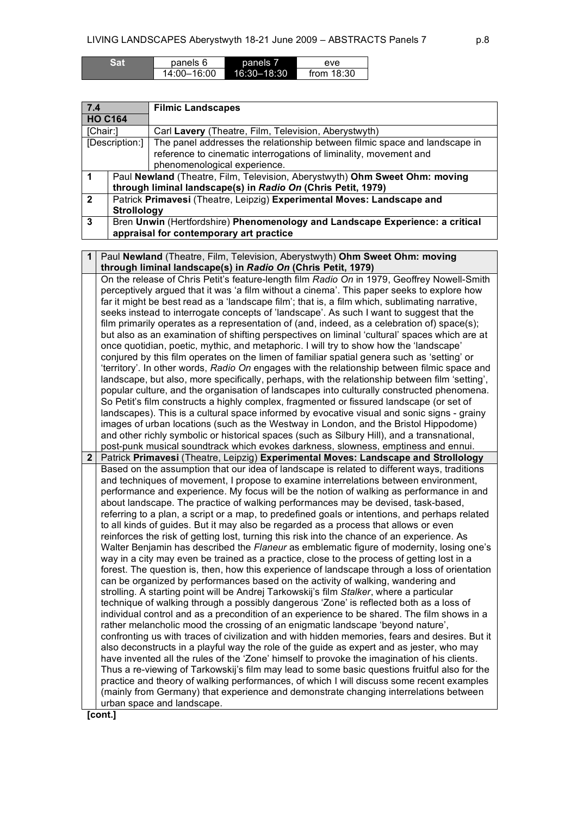| Sar | panels 6    | panels 7    | eve          |
|-----|-------------|-------------|--------------|
|     | 14:00-16:00 | 16:30-18:30 | from $18:30$ |

| 7.4            |                                                                               | <b>Filmic Landscapes</b>                                                    |  |  |  |
|----------------|-------------------------------------------------------------------------------|-----------------------------------------------------------------------------|--|--|--|
| <b>HO C164</b> |                                                                               |                                                                             |  |  |  |
| [Chair:]       |                                                                               | Carl Lavery (Theatre, Film, Television, Aberystwyth)                        |  |  |  |
| [Description:] |                                                                               | The panel addresses the relationship between filmic space and landscape in  |  |  |  |
|                |                                                                               | reference to cinematic interrogations of liminality, movement and           |  |  |  |
|                |                                                                               | phenomenological experience.                                                |  |  |  |
|                |                                                                               | Paul Newland (Theatre, Film, Television, Aberystwyth) Ohm Sweet Ohm: moving |  |  |  |
|                | through liminal landscape(s) in Radio On (Chris Petit, 1979)                  |                                                                             |  |  |  |
| $\overline{2}$ | Patrick Primavesi (Theatre, Leipzig) Experimental Moves: Landscape and        |                                                                             |  |  |  |
|                | <b>Strollology</b>                                                            |                                                                             |  |  |  |
| 3              | Bren Unwin (Hertfordshire) Phenomenology and Landscape Experience: a critical |                                                                             |  |  |  |
|                | appraisal for contemporary art practice                                       |                                                                             |  |  |  |

| 1            | Paul Newland (Theatre, Film, Television, Aberystwyth) Ohm Sweet Ohm: moving                                                                                                              |
|--------------|------------------------------------------------------------------------------------------------------------------------------------------------------------------------------------------|
|              | through liminal landscape(s) in Radio On (Chris Petit, 1979)                                                                                                                             |
|              | On the release of Chris Petit's feature-length film Radio On in 1979, Geoffrey Nowell-Smith                                                                                              |
|              | perceptively argued that it was 'a film without a cinema'. This paper seeks to explore how                                                                                               |
|              | far it might be best read as a 'landscape film'; that is, a film which, sublimating narrative,                                                                                           |
|              | seeks instead to interrogate concepts of 'landscape'. As such I want to suggest that the                                                                                                 |
|              | film primarily operates as a representation of (and, indeed, as a celebration of) space(s);                                                                                              |
|              | but also as an examination of shifting perspectives on liminal 'cultural' spaces which are at                                                                                            |
|              | once quotidian, poetic, mythic, and metaphoric. I will try to show how the 'landscape'                                                                                                   |
|              | conjured by this film operates on the limen of familiar spatial genera such as 'setting' or                                                                                              |
|              | 'territory'. In other words, Radio On engages with the relationship between filmic space and                                                                                             |
|              | landscape, but also, more specifically, perhaps, with the relationship between film 'setting',                                                                                           |
|              | popular culture, and the organisation of landscapes into culturally constructed phenomena.                                                                                               |
|              | So Petit's film constructs a highly complex, fragmented or fissured landscape (or set of                                                                                                 |
|              | landscapes). This is a cultural space informed by evocative visual and sonic signs - grainy<br>images of urban locations (such as the Westway in London, and the Bristol Hippodome)      |
|              | and other richly symbolic or historical spaces (such as Silbury Hill), and a transnational,                                                                                              |
|              | post-punk musical soundtrack which evokes darkness, slowness, emptiness and ennui.                                                                                                       |
| $\mathbf{2}$ | Patrick Primavesi (Theatre, Leipzig) Experimental Moves: Landscape and Strollology                                                                                                       |
|              | Based on the assumption that our idea of landscape is related to different ways, traditions                                                                                              |
|              | and techniques of movement, I propose to examine interrelations between environment,                                                                                                     |
|              |                                                                                                                                                                                          |
|              |                                                                                                                                                                                          |
|              | performance and experience. My focus will be the notion of walking as performance in and                                                                                                 |
|              | about landscape. The practice of walking performances may be devised, task-based,                                                                                                        |
|              | referring to a plan, a script or a map, to predefined goals or intentions, and perhaps related                                                                                           |
|              | to all kinds of guides. But it may also be regarded as a process that allows or even                                                                                                     |
|              | reinforces the risk of getting lost, turning this risk into the chance of an experience. As<br>Walter Benjamin has described the Flaneur as emblematic figure of modernity, losing one's |
|              | way in a city may even be trained as a practice, close to the process of getting lost in a                                                                                               |
|              | forest. The question is, then, how this experience of landscape through a loss of orientation                                                                                            |
|              | can be organized by performances based on the activity of walking, wandering and                                                                                                         |
|              | strolling. A starting point will be Andrej Tarkowskij's film Stalker, where a particular                                                                                                 |
|              | technique of walking through a possibly dangerous 'Zone' is reflected both as a loss of                                                                                                  |
|              | individual control and as a precondition of an experience to be shared. The film shows in a                                                                                              |
|              | rather melancholic mood the crossing of an enigmatic landscape 'beyond nature',                                                                                                          |
|              | confronting us with traces of civilization and with hidden memories, fears and desires. But it                                                                                           |
|              | also deconstructs in a playful way the role of the guide as expert and as jester, who may                                                                                                |
|              | have invented all the rules of the 'Zone' himself to provoke the imagination of his clients.                                                                                             |
|              | Thus a re-viewing of Tarkowskij's film may lead to some basic questions fruitful also for the                                                                                            |
|              | practice and theory of walking performances, of which I will discuss some recent examples                                                                                                |
|              | (mainly from Germany) that experience and demonstrate changing interrelations between<br>urban space and landscape.                                                                      |